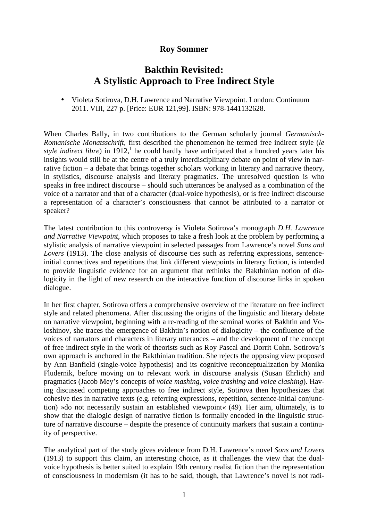## **Roy Sommer**

## **Bakthin Revisited: A Stylistic Approach to Free Indirect Style**

• Violeta Sotirova, D.H. Lawrence and Narrative Viewpoint. London: Continuum 2011. VIII, 227 p. [Price: EUR 121,99]. ISBN: 978-1441132628.

When Charles Bally, in two contributions to the German scholarly journal *Germanisch-Romanische Monatsschrift*, first described the phenomenon he termed free indirect style (*le style indirect libre*) in  $1912$ , he could hardly have anticipated that a hundred years later his insights would still be at the centre of a truly interdisciplinary debate on point of view in narrative fiction – a debate that brings together scholars working in literary and narrative theory, in stylistics, discourse analysis and literary pragmatics. The unresolved question is who speaks in free indirect discourse – should such utterances be analysed as a combination of the voice of a narrator and that of a character (dual-voice hypothesis), or is free indirect discourse a representation of a character's consciousness that cannot be attributed to a narrator or speaker?

The latest contribution to this controversy is Violeta Sotirova's monograph *D.H. Lawrence and Narrative Viewpoint*, which proposes to take a fresh look at the problem by performing a stylistic analysis of narrative viewpoint in selected passages from Lawrence's novel *Sons and Lovers* (1913). The close analysis of discourse ties such as referring expressions, sentenceinitial connectives and repetitions that link different viewpoints in literary fiction, is intended to provide linguistic evidence for an argument that rethinks the Bakthinian notion of dialogicity in the light of new research on the interactive function of discourse links in spoken dialogue.

In her first chapter, Sotirova offers a comprehensive overview of the literature on free indirect style and related phenomena. After discussing the origins of the linguistic and literary debate on narrative viewpoint, beginning with a re-reading of the seminal works of Bakhtin and Voloshinov, she traces the emergence of Bakhtin's notion of dialogicity – the confluence of the voices of narrators and characters in literary utterances – and the development of the concept of free indirect style in the work of theorists such as Roy Pascal and Dorrit Cohn. Sotirova's own approach is anchored in the Bakthinian tradition. She rejects the opposing view proposed by Ann Banfield (single-voice hypothesis) and its cognitive reconceptualization by Monika Fludernik, before moving on to relevant work in discourse analysis (Susan Ehrlich) and pragmatics (Jacob Mey's concepts of *voice mashing*, *voice trashing* and *voice clashing*). Having discussed competing approaches to free indirect style, Sotirova then hypothesizes that cohesive ties in narrative texts (e.g. referring expressions, repetition, sentence-initial conjunction) »do not necessarily sustain an established viewpoint« (49). Her aim, ultimately, is to show that the dialogic design of narrative fiction is formally encoded in the linguistic structure of narrative discourse – despite the presence of continuity markers that sustain a continuity of perspective.

The analytical part of the study gives evidence from D.H. Lawrence's novel *Sons and Lovers* (1913) to support this claim, an interesting choice, as it challenges the view that the dualvoice hypothesis is better suited to explain 19th century realist fiction than the representation of consciousness in modernism (it has to be said, though, that Lawrence's novel is not radi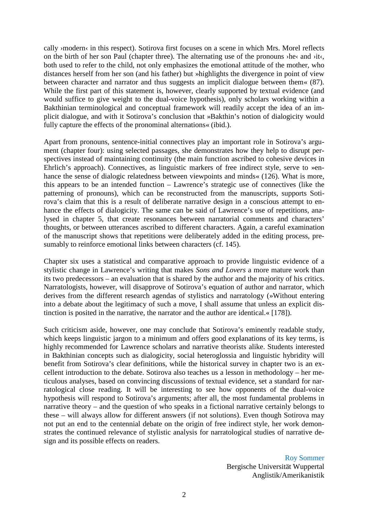cally >modern $\cdot$  in this respect). Sotirova first focuses on a scene in which Mrs. Morel reflects on the birth of her son Paul (chapter three). The alternating use of the pronouns ›he‹ and ›it‹, both used to refer to the child, not only emphasizes the emotional attitude of the mother, who distances herself from her son (and his father) but »highlights the divergence in point of view between character and narrator and thus suggests an implicit dialogue between them« (87). While the first part of this statement is, however, clearly supported by textual evidence (and would suffice to give weight to the dual-voice hypothesis), only scholars working within a Bakthinian terminological and conceptual framework will readily accept the idea of an implicit dialogue, and with it Sotirova's conclusion that »Bakthin's notion of dialogicity would fully capture the effects of the pronominal alternations« (ibid.).

Apart from pronouns, sentence-initial connectives play an important role in Sotirova's argument (chapter four): using selected passages, she demonstrates how they help to disrupt perspectives instead of maintaining continuity (the main function ascribed to cohesive devices in Ehrlich's approach). Connectives, as linguistic markers of free indirect style, serve to »enhance the sense of dialogic relatedness between viewpoints and minds« (126). What is more, this appears to be an intended function – Lawrence's strategic use of connectives (like the patterning of pronouns), which can be reconstructed from the manuscripts, supports Sotirova's claim that this is a result of deliberate narrative design in a conscious attempt to enhance the effects of dialogicity. The same can be said of Lawrence's use of repetitions, analysed in chapter 5, that create resonances between narratorial comments and characters' thoughts, or between utterances ascribed to different characters. Again, a careful examination of the manuscript shows that repetitions were deliberately added in the editing process, presumably to reinforce emotional links between characters (cf. 145).

Chapter six uses a statistical and comparative approach to provide linguistic evidence of a stylistic change in Lawrence's writing that makes *Sons and Lovers* a more mature work than its two predecessors – an evaluation that is shared by the author and the majority of his critics. Narratologists, however, will disapprove of Sotirova's equation of author and narrator, which derives from the different research agendas of stylistics and narratology (»Without entering into a debate about the legitimacy of such a move, I shall assume that unless an explicit distinction is posited in the narrative, the narrator and the author are identical.« [178]).

Such criticism aside, however, one may conclude that Sotirova's eminently readable study, which keeps linguistic jargon to a minimum and offers good explanations of its key terms, is highly recommended for Lawrence scholars and narrative theorists alike. Students interested in Bakthinian concepts such as dialogicity, social heteroglossia and linguistic hybridity will benefit from Sotirova's clear definitions, while the historical survey in chapter two is an excellent introduction to the debate. Sotirova also teaches us a lesson in methodology – her meticulous analyses, based on convincing discussions of textual evidence, set a standard for narratological close reading. It will be interesting to see how opponents of the dual-voice hypothesis will respond to Sotirova's arguments; after all, the most fundamental problems in narrative theory – and the question of who speaks in a fictional narrative certainly belongs to these – will always allow for different answers (if not solutions). Even though Sotirova may not put an end to the centennial debate on the origin of free indirect style, her work demonstrates the continued relevance of stylistic analysis for narratological studies of narrative design and its possible effects on readers.

> Roy Sommer Bergische Universität Wuppertal Anglistik/Amerikanistik